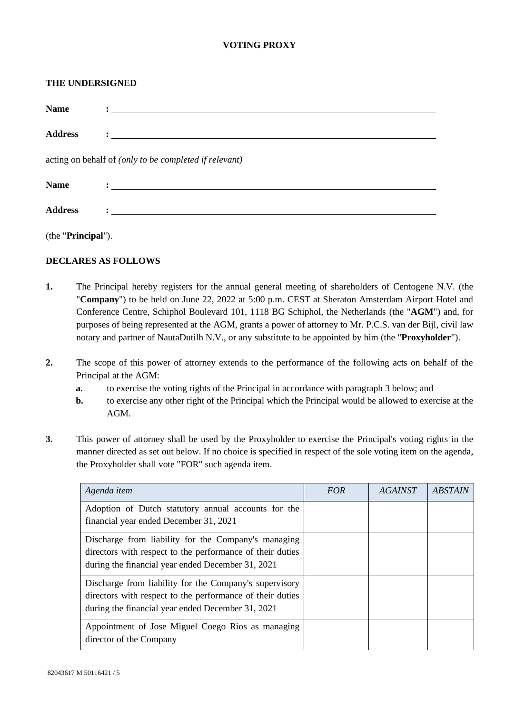## **VOTING PROXY**

#### **THE UNDERSIGNED**

| <b>Name</b>                                            | <u>: _______________________________</u>                                                                                                                                                                                          |  |  |  |  |
|--------------------------------------------------------|-----------------------------------------------------------------------------------------------------------------------------------------------------------------------------------------------------------------------------------|--|--|--|--|
| <b>Address</b>                                         |                                                                                                                                                                                                                                   |  |  |  |  |
| acting on behalf of (only to be completed if relevant) |                                                                                                                                                                                                                                   |  |  |  |  |
| <b>Name</b>                                            | $\mathbf{C}$ . The contract of the contract of the contract of the contract of the contract of the contract of the contract of the contract of the contract of the contract of the contract of the contract of the contract of th |  |  |  |  |
| <b>Address</b>                                         |                                                                                                                                                                                                                                   |  |  |  |  |

(the "**Principal**").

### **DECLARES AS FOLLOWS**

- **1.** The Principal hereby registers for the annual general meeting of shareholders of Centogene N.V. (the "**Company**") to be held on June 22, 2022 at 5:00 p.m. CEST at Sheraton Amsterdam Airport Hotel and Conference Centre, Schiphol Boulevard 101, 1118 BG Schiphol, the Netherlands (the "**AGM**") and, for purposes of being represented at the AGM, grants a power of attorney to Mr. P.C.S. van der Bijl, civil law notary and partner of NautaDutilh N.V., or any substitute to be appointed by him (the "**Proxyholder**").
- **2.** The scope of this power of attorney extends to the performance of the following acts on behalf of the Principal at the AGM:
	- **a.** to exercise the voting rights of the Principal in accordance with paragraph [3](#page-0-0) below; and
	- **b.** to exercise any other right of the Principal which the Principal would be allowed to exercise at the AGM.
- <span id="page-0-0"></span>**3.** This power of attorney shall be used by the Proxyholder to exercise the Principal's voting rights in the manner directed as set out below. If no choice is specified in respect of the sole voting item on the agenda, the Proxyholder shall vote "FOR" such agenda item.

| Agenda item                                                                                                                                                              | <b>FOR</b> | <i><b>AGAINST</b></i> | <b>ABSTAIN</b> |
|--------------------------------------------------------------------------------------------------------------------------------------------------------------------------|------------|-----------------------|----------------|
| Adoption of Dutch statutory annual accounts for the<br>financial year ended December 31, 2021                                                                            |            |                       |                |
| Discharge from liability for the Company's managing<br>directors with respect to the performance of their duties<br>during the financial year ended December 31, 2021    |            |                       |                |
| Discharge from liability for the Company's supervisory<br>directors with respect to the performance of their duties<br>during the financial year ended December 31, 2021 |            |                       |                |
| Appointment of Jose Miguel Coego Rios as managing<br>director of the Company                                                                                             |            |                       |                |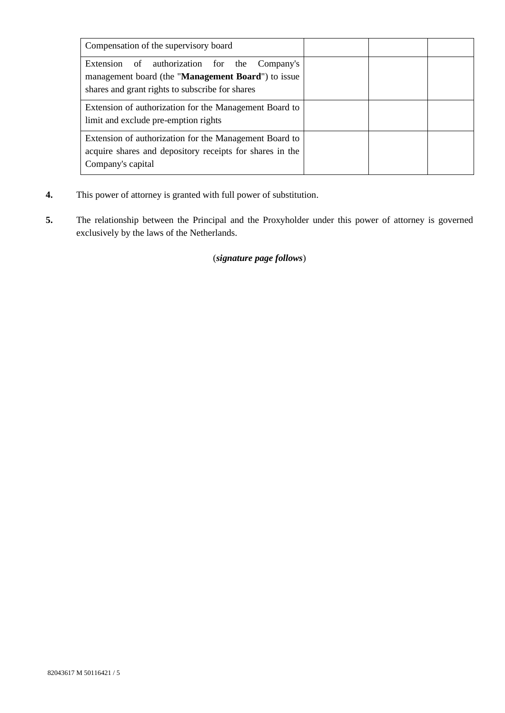| Compensation of the supervisory board                                                                                                                       |  |  |
|-------------------------------------------------------------------------------------------------------------------------------------------------------------|--|--|
| of authorization for the<br>Extension<br>Company's<br>management board (the "Management Board") to issue<br>shares and grant rights to subscribe for shares |  |  |
| Extension of authorization for the Management Board to<br>limit and exclude pre-emption rights                                                              |  |  |
| Extension of authorization for the Management Board to<br>acquire shares and depository receipts for shares in the<br>Company's capital                     |  |  |

- **4.** This power of attorney is granted with full power of substitution.
- **5.** The relationship between the Principal and the Proxyholder under this power of attorney is governed exclusively by the laws of the Netherlands.

# (*signature page follows*)